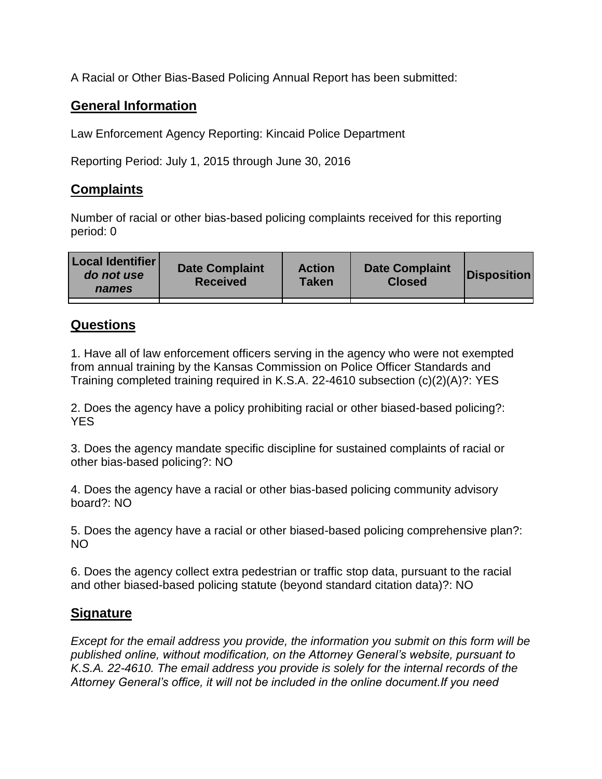A Racial or Other Bias-Based Policing Annual Report has been submitted:

## **General Information**

Law Enforcement Agency Reporting: Kincaid Police Department

Reporting Period: July 1, 2015 through June 30, 2016

## **Complaints**

Number of racial or other bias-based policing complaints received for this reporting period: 0

| <b>Local Identifier</b><br>do not use<br>names | <b>Date Complaint</b><br><b>Received</b> | <b>Action</b><br><b>Taken</b> | <b>Date Complaint</b><br><b>Closed</b> | Disposition |
|------------------------------------------------|------------------------------------------|-------------------------------|----------------------------------------|-------------|
|                                                |                                          |                               |                                        |             |

## **Questions**

1. Have all of law enforcement officers serving in the agency who were not exempted from annual training by the Kansas Commission on Police Officer Standards and Training completed training required in K.S.A. 22-4610 subsection (c)(2)(A)?: YES

2. Does the agency have a policy prohibiting racial or other biased-based policing?: YES

3. Does the agency mandate specific discipline for sustained complaints of racial or other bias-based policing?: NO

4. Does the agency have a racial or other bias-based policing community advisory board?: NO

5. Does the agency have a racial or other biased-based policing comprehensive plan?: NO

6. Does the agency collect extra pedestrian or traffic stop data, pursuant to the racial and other biased-based policing statute (beyond standard citation data)?: NO

## **Signature**

*Except for the email address you provide, the information you submit on this form will be published online, without modification, on the Attorney General's website, pursuant to K.S.A. 22-4610. The email address you provide is solely for the internal records of the Attorney General's office, it will not be included in the online document.If you need*